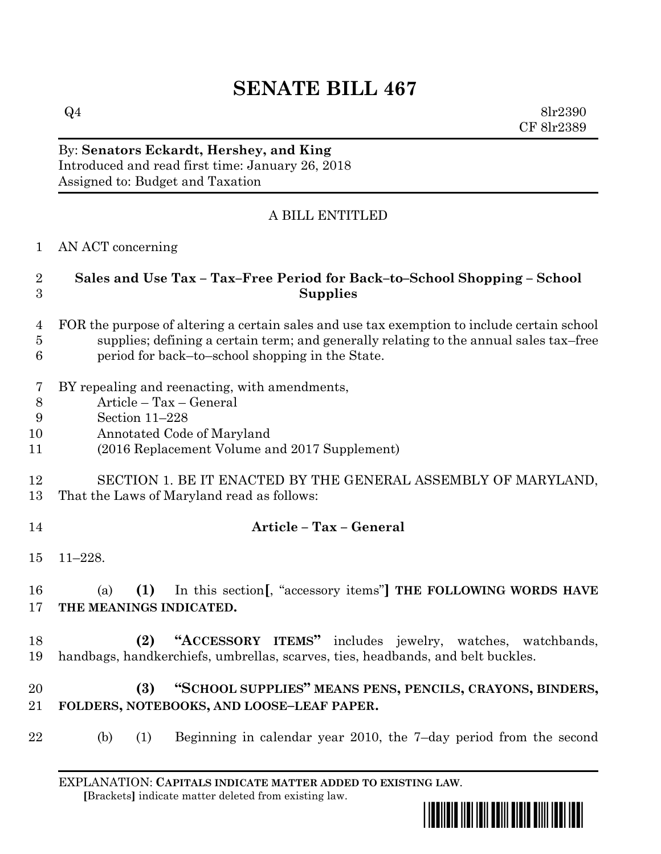# **SENATE BILL 467**

 $Q4 \qquad \qquad 8\text{lr}2390$ CF 8lr2389

By: **Senators Eckardt, Hershey, and King** Introduced and read first time: January 26, 2018 Assigned to: Budget and Taxation

# A BILL ENTITLED

#### AN ACT concerning

### **Sales and Use Tax – Tax–Free Period for Back–to–School Shopping – School Supplies**

- FOR the purpose of altering a certain sales and use tax exemption to include certain school supplies; defining a certain term; and generally relating to the annual sales tax–free period for back–to–school shopping in the State.
- BY repealing and reenacting, with amendments,
- Article Tax General
- Section 11–228
- Annotated Code of Maryland
- (2016 Replacement Volume and 2017 Supplement)

#### SECTION 1. BE IT ENACTED BY THE GENERAL ASSEMBLY OF MARYLAND, That the Laws of Maryland read as follows:

#### **Article – Tax – General**

11–228.

 (a) **(1)** In this section**[**, "accessory items"**] THE FOLLOWING WORDS HAVE THE MEANINGS INDICATED.**

 **(2) "ACCESSORY ITEMS"** includes jewelry, watches, watchbands, handbags, handkerchiefs, umbrellas, scarves, ties, headbands, and belt buckles.

# **(3) "SCHOOL SUPPLIES" MEANS PENS, PENCILS, CRAYONS, BINDERS, FOLDERS, NOTEBOOKS, AND LOOSE–LEAF PAPER.**

(b) (1) Beginning in calendar year 2010, the 7–day period from the second

EXPLANATION: **CAPITALS INDICATE MATTER ADDED TO EXISTING LAW**.  **[**Brackets**]** indicate matter deleted from existing law.